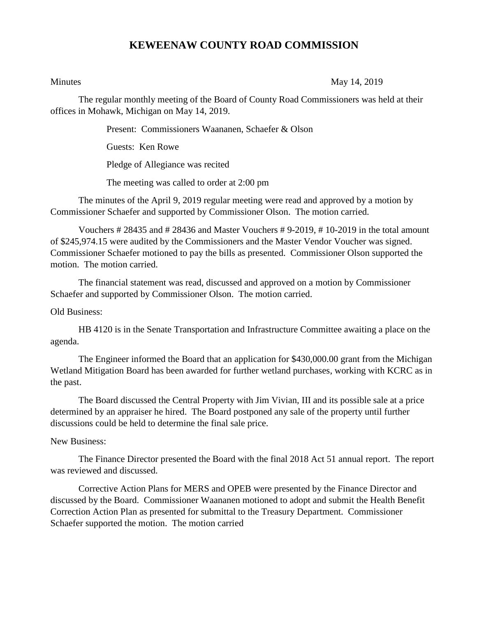## **KEWEENAW COUNTY ROAD COMMISSION**

Minutes May 14, 2019

The regular monthly meeting of the Board of County Road Commissioners was held at their offices in Mohawk, Michigan on May 14, 2019.

Present: Commissioners Waananen, Schaefer & Olson

Guests: Ken Rowe

Pledge of Allegiance was recited

The meeting was called to order at 2:00 pm

The minutes of the April 9, 2019 regular meeting were read and approved by a motion by Commissioner Schaefer and supported by Commissioner Olson. The motion carried.

Vouchers # 28435 and # 28436 and Master Vouchers # 9-2019, # 10-2019 in the total amount of \$245,974.15 were audited by the Commissioners and the Master Vendor Voucher was signed. Commissioner Schaefer motioned to pay the bills as presented. Commissioner Olson supported the motion. The motion carried.

The financial statement was read, discussed and approved on a motion by Commissioner Schaefer and supported by Commissioner Olson. The motion carried.

Old Business:

HB 4120 is in the Senate Transportation and Infrastructure Committee awaiting a place on the agenda.

The Engineer informed the Board that an application for \$430,000.00 grant from the Michigan Wetland Mitigation Board has been awarded for further wetland purchases, working with KCRC as in the past.

The Board discussed the Central Property with Jim Vivian, III and its possible sale at a price determined by an appraiser he hired. The Board postponed any sale of the property until further discussions could be held to determine the final sale price.

## New Business:

The Finance Director presented the Board with the final 2018 Act 51 annual report. The report was reviewed and discussed.

Corrective Action Plans for MERS and OPEB were presented by the Finance Director and discussed by the Board. Commissioner Waananen motioned to adopt and submit the Health Benefit Correction Action Plan as presented for submittal to the Treasury Department. Commissioner Schaefer supported the motion. The motion carried